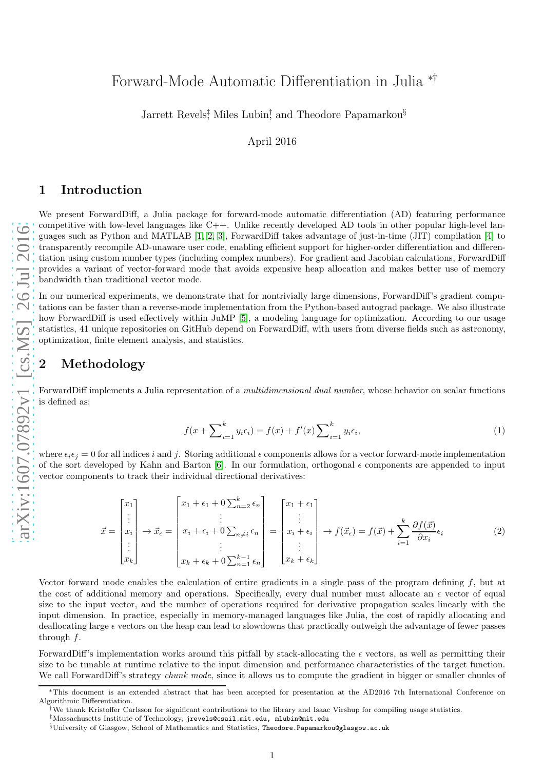# Forward-Mode Automatic Differentiation in Julia ∗†

Jarrett Revels<sup>†</sup>, Miles Lubin<sup>†</sup>, and Theodore Papamarkou<sup>§</sup>

April 2016

#### 1 Introduction

We present ForwardDiff, a Julia package for forward-mode automatic differentiation (AD) featuring performance competitive with low-level languages like C++. Unlike recently developed AD tools in other popular high-level languages such as Python and MATLAB [\[1,](#page-3-0) [2,](#page-3-1) [3\]](#page-3-2), ForwardDiff takes advantage of just-in-time (JIT) compilation [\[4\]](#page-3-3) to transparently recompile AD-unaware user code, enabling efficient support for higher-order differentiation and differentiation using custom number types (including complex numbers). For gradient and Jacobian calculations, ForwardDiff provides a variant of vector-forward mode that avoids expensive heap allocation and makes better use of memory bandwidth than traditional vector mode.

In our numerical experiments, we demonstrate that for nontrivially large dimensions, ForwardDiff's gradient computations can be faster than a reverse-mode implementation from the Python-based autograd package. We also illustrate how ForwardDiff is used effectively within JuMP [\[5\]](#page-3-4), a modeling language for optimization. According to our usage statistics, 41 unique repositories on GitHub depend on ForwardDiff, with users from diverse fields such as astronomy, optimization, finite element analysis, and statistics.

# <span id="page-0-1"></span>2 Methodology

ForwardDiff implements a Julia representation of a multidimensional dual number, whose behavior on scalar functions is defined as:

<span id="page-0-0"></span>
$$
f(x + \sum_{i=1}^{k} y_i \epsilon_i) = f(x) + f'(x) \sum_{i=1}^{k} y_i \epsilon_i,
$$
\n
$$
(1)
$$

where  $\epsilon_i \epsilon_j = 0$  for all indices i and j. Storing additional  $\epsilon$  components allows for a vector forward-mode implementation of the sort developed by Kahn and Barton [\[6\]](#page-3-5). In our formulation, orthogonal  $\epsilon$  components are appended to input vector components to track their individual directional derivatives:

$$
\vec{x} = \begin{bmatrix} x_1 \\ \vdots \\ x_i \\ \vdots \\ x_k \end{bmatrix} \rightarrow \vec{x}_{\epsilon} = \begin{bmatrix} x_1 + \epsilon_1 + 0 \sum_{n=2}^k \epsilon_n \\ \vdots \\ x_i + \epsilon_i + 0 \sum_{n=1}^k \epsilon_n \\ \vdots \\ x_k + \epsilon_k + 0 \sum_{n=1}^{k-1} \epsilon_n \end{bmatrix} = \begin{bmatrix} x_1 + \epsilon_1 \\ \vdots \\ x_i + \epsilon_i \\ \vdots \\ x_k + \epsilon_k \end{bmatrix} \rightarrow f(\vec{x}_{\epsilon}) = f(\vec{x}) + \sum_{i=1}^k \frac{\partial f(\vec{x})}{\partial x_i} \epsilon_i \tag{2}
$$

Vector forward mode enables the calculation of entire gradients in a single pass of the program defining  $f$ , but at the cost of additional memory and operations. Specifically, every dual number must allocate an  $\epsilon$  vector of equal size to the input vector, and the number of operations required for derivative propagation scales linearly with the input dimension. In practice, especially in memory-managed languages like Julia, the cost of rapidly allocating and deallocating large  $\epsilon$  vectors on the heap can lead to slowdowns that practically outweigh the advantage of fewer passes through  $f$ .

ForwardDiff's implementation works around this pitfall by stack-allocating the  $\epsilon$  vectors, as well as permitting their size to be tunable at runtime relative to the input dimension and performance characteristics of the target function. We call ForwardDiff's strategy *chunk mode*, since it allows us to compute the gradient in bigger or smaller chunks of

<sup>∗</sup>This document is an extended abstract that has been accepted for presentation at the AD2016 7th International Conference on Algorithmic Differentiation.

<sup>†</sup>We thank Kristoffer Carlsson for significant contributions to the library and Isaac Virshup for compiling usage statistics.

<sup>‡</sup>Massachusetts Institute of Technology, jrevels@csail.mit.edu, mlubin@mit.edu

 $\S$ University of Glasgow, School of Mathematics and Statistics, Theodore.Papamarkou@glasgow.ac.uk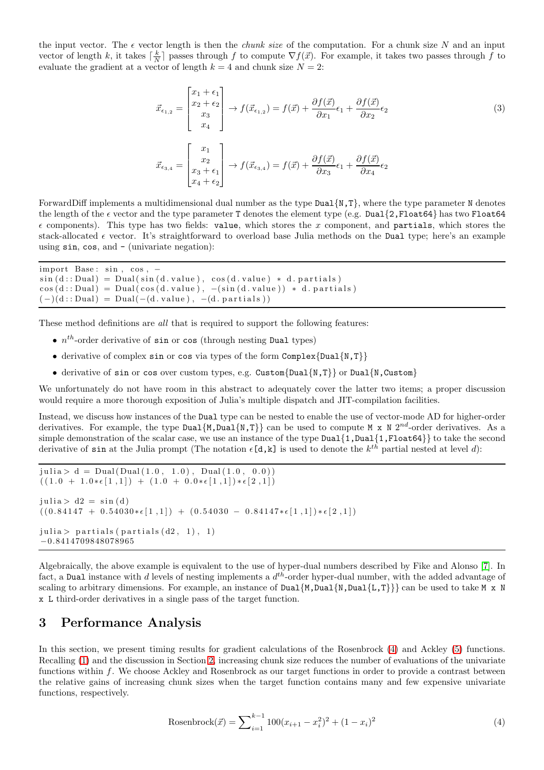the input vector. The  $\epsilon$  vector length is then the *chunk size* of the computation. For a chunk size N and an input vector of length k, it takes  $\lceil \frac{k}{N} \rceil$  passes through f to compute  $\nabla f(\vec{x})$ . For example, it takes two passes through f to evaluate the gradient at a vector of length  $k = 4$  and chunk size  $N = 2$ :

$$
\vec{x}_{\epsilon_{1,2}} = \begin{bmatrix} x_1 + \epsilon_1 \\ x_2 + \epsilon_2 \\ x_3 \\ x_4 \end{bmatrix} \rightarrow f(\vec{x}_{\epsilon_{1,2}}) = f(\vec{x}) + \frac{\partial f(\vec{x})}{\partial x_1} \epsilon_1 + \frac{\partial f(\vec{x})}{\partial x_2} \epsilon_2
$$
\n
$$
\vec{x}_{\epsilon_{3,4}} = \begin{bmatrix} x_1 \\ x_2 \\ x_3 + \epsilon_1 \\ x_4 + \epsilon_2 \end{bmatrix} \rightarrow f(\vec{x}_{\epsilon_{3,4}}) = f(\vec{x}) + \frac{\partial f(\vec{x})}{\partial x_3} \epsilon_1 + \frac{\partial f(\vec{x})}{\partial x_4} \epsilon_2
$$
\n(3)

ForwardDiff implements a multidimensional dual number as the type  $Dual{N, T}$ , where the type parameter N denotes the length of the  $\epsilon$  vector and the type parameter T denotes the element type (e.g. Dual{2,Float64} has two Float64  $\epsilon$  components). This type has two fields: value, which stores the x component, and partials, which stores the stack-allocated  $\epsilon$  vector. It's straightforward to overload base Julia methods on the Dual type; here's an example using sin, cos, and - (univariate negation):

```
import Base: sin, cos, -sin ( d::Dual ) = Dual(sin ( d.xalue ) , cos ( d.xalue ) * d.partials )\cos(d::Dual) = Dual(\cos(d.value), -(\sin(d.value)) * d.partials)(-)(d::Dual) = Dual(-(d.value), -(d.partials))
```
These method definitions are *all* that is required to support the following features:

- $n^{th}$ -order derivative of sin or cos (through nesting Dual types)
- derivative of complex sin or cos via types of the form Complex {Dual {N, T}}
- derivative of sin or cos over custom types, e.g. Custom{Dual{N,T}} or Dual{N,Custom}

We unfortunately do not have room in this abstract to adequately cover the latter two items; a proper discussion would require a more thorough exposition of Julia's multiple dispatch and JIT-compilation facilities.

Instead, we discuss how instances of the Dual type can be nested to enable the use of vector-mode AD for higher-order derivatives. For example, the type Dual  $\{M, Dual\{N, T\}\}\$ can be used to compute M x N  $2^{nd}$ -order derivatives. As a simple demonstration of the scalar case, we use an instance of the type  $Dual{1,Dual{1,Fload64}}$  to take the second derivative of sin at the Julia prompt (The notation  $\epsilon[d,k]$  is used to denote the  $k^{th}$  partial nested at level d):

```
juli a > d = Dual(Dual(1.0, 1.0), Dual(1.0, 0.0))((1.0 + 1.0 * \epsilon [1,1]) + (1.0 + 0.0 * \epsilon [1,1]) * \epsilon [2,1])julia > d2 = sin(d)((0.84147 + 0.54030 * \epsilon [1,1]) + (0.54030 - 0.84147 * \epsilon [1,1]) * \epsilon [2,1])julia > partials (partials (d2, 1), 1)−0.8414709848078965
```
Algebraically, the above example is equivalent to the use of hyper-dual numbers described by Fike and Alonso [\[7\]](#page-3-6). In fact, a Dual instance with d levels of nesting implements a  $d^{th}$ -order hyper-dual number, with the added advantage of scaling to arbitrary dimensions. For example, an instance of  $Dual{M, Dual{L,T}}$ } can be used to take M x N x L third-order derivatives in a single pass of the target function.

#### 3 Performance Analysis

In this section, we present timing results for gradient calculations of the Rosenbrock [\(4\)](#page-1-0) and Ackley [\(5\)](#page-2-0) functions. Recalling [\(1\)](#page-0-0) and the discussion in Section [2,](#page-0-1) increasing chunk size reduces the number of evaluations of the univariate functions within f. We choose Ackley and Rosenbrock as our target functions in order to provide a contrast between the relative gains of increasing chunk sizes when the target function contains many and few expensive univariate functions, respectively.

<span id="page-1-0"></span>Rosenbrock(
$$
\vec{x}
$$
) =  $\sum_{i=1}^{k-1} 100(x_{i+1} - x_i^2)^2 + (1 - x_i)^2$  (4)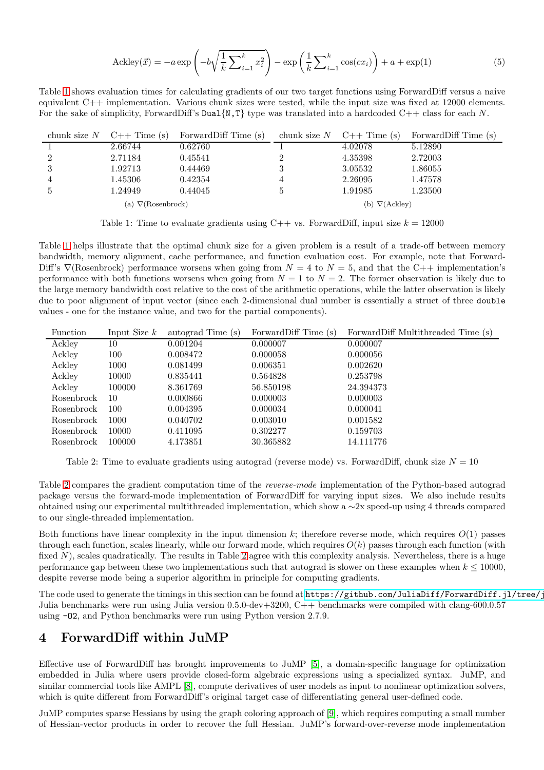<span id="page-2-0"></span>
$$
\text{Acknowledv}(\vec{x}) = -a \exp\left(-b\sqrt{\frac{1}{k}\sum_{i=1}^{k}x_i^2}\right) - \exp\left(\frac{1}{k}\sum_{i=1}^{k}\cos(cx_i)\right) + a + \exp(1) \tag{5}
$$

<span id="page-2-1"></span>Table [1](#page-2-1) shows evaluation times for calculating gradients of our two target functions using ForwardDiff versus a naive equivalent C++ implementation. Various chunk sizes were tested, while the input size was fixed at 12000 elements. For the sake of simplicity, ForwardDiff's Dual $\{N, T\}$  type was translated into a hardcoded C++ class for each N.

|                           | chunk size $N$ C++ Time (s) | ForwardDiff Time (s) |   | chunk size $N$ C++ Time (s) | ForwardDiff Time (s) |
|---------------------------|-----------------------------|----------------------|---|-----------------------------|----------------------|
|                           | 2.66744                     | 0.62760              |   | 4.02078                     | 5.12890              |
| $\overline{2}$            | 2.71184                     | 0.45541              |   | 4.35398                     | 2.72003              |
|                           | 1.92713                     | 0.44469              |   | 3.05532                     | 1.86055              |
|                           | 1.45306                     | 0.42354              | 4 | 2.26095                     | 1.47578              |
|                           | 1.24949                     | 0.44045              |   | 1.91985                     | 1.23500              |
| (a) $\nabla$ (Rosenbrock) |                             |                      |   | (b) $\nabla(Ackley)$        |                      |

Table 1: Time to evaluate gradients using  $C++$  vs. ForwardDiff, input size  $k = 12000$ 

Table [1](#page-2-1) helps illustrate that the optimal chunk size for a given problem is a result of a trade-off between memory bandwidth, memory alignment, cache performance, and function evaluation cost. For example, note that Forward-Diff's  $\nabla$ (Rosenbrock) performance worsens when going from  $N = 4$  to  $N = 5$ , and that the C++ implementation's performance with both functions worsens when going from  $N = 1$  to  $N = 2$ . The former observation is likely due to the large memory bandwidth cost relative to the cost of the arithmetic operations, while the latter observation is likely due to poor alignment of input vector (since each 2-dimensional dual number is essentially a struct of three double values - one for the instance value, and two for the partial components).

<span id="page-2-2"></span>

| Function   | Input Size $k$ | autograd Time (s) | ForwardDiff Time (s) | ForwardDiff Multithreaded Time (s) |
|------------|----------------|-------------------|----------------------|------------------------------------|
| Ackley     | 10             | 0.001204          | 0.000007             | 0.000007                           |
| Ackley     | 100            | 0.008472          | 0.000058             | 0.000056                           |
| Ackley     | 1000           | 0.081499          | 0.006351             | 0.002620                           |
| Ackley     | 10000          | 0.835441          | 0.564828             | 0.253798                           |
| Ackley     | 100000         | 8.361769          | 56.850198            | 24.394373                          |
| Rosenbrock | 10             | 0.000866          | 0.000003             | 0.000003                           |
| Rosenbrock | 100            | 0.004395          | 0.000034             | 0.000041                           |
| Rosenbrock | 1000           | 0.040702          | 0.003010             | 0.001582                           |
| Rosenbrock | 10000          | 0.411095          | 0.302277             | 0.159703                           |
| Rosenbrock | 100000         | 4.173851          | 30.365882            | 14.111776                          |

Table 2: Time to evaluate gradients using autograd (reverse mode) vs. ForwardDiff, chunk size  $N = 10$ 

Table [2](#page-2-2) compares the gradient computation time of the reverse-mode implementation of the Python-based autograd package versus the forward-mode implementation of ForwardDiff for varying input sizes. We also include results obtained using our experimental multithreaded implementation, which show a ∼2x speed-up using 4 threads compared to our single-threaded implementation.

Both functions have linear complexity in the input dimension  $k$ ; therefore reverse mode, which requires  $O(1)$  passes through each function, scales linearly, while our forward mode, which requires  $O(k)$  passes through each function (with fixed  $N$ ), scales quadratically. The results in Table [2](#page-2-2) agree with this complexity analysis. Nevertheless, there is a huge performance gap between these two implementations such that autograd is slower on these examples when  $k \le 10000$ . despite reverse mode being a superior algorithm in principle for computing gradients.

The code used to generate the timings in this section can be found at [https://github.com/JuliaDiff/ForwardDiff.jl/tree/j](https://github.com/JuliaDiff/ForwardDiff.jl/tree/jr/benchmarks/benchmark) Julia benchmarks were run using Julia version 0.5.0-dev+3200, C++ benchmarks were compiled with clang-600.0.57 using -O2, and Python benchmarks were run using Python version 2.7.9.

## 4 ForwardDiff within JuMP

Effective use of ForwardDiff has brought improvements to JuMP [\[5\]](#page-3-4), a domain-specific language for optimization embedded in Julia where users provide closed-form algebraic expressions using a specialized syntax. JuMP, and similar commercial tools like AMPL [\[8\]](#page-3-7), compute derivatives of user models as input to nonlinear optimization solvers, which is quite different from ForwardDiff's original target case of differentiating general user-defined code.

JuMP computes sparse Hessians by using the graph coloring approach of [\[9\]](#page-3-8), which requires computing a small number of Hessian-vector products in order to recover the full Hessian. JuMP's forward-over-reverse mode implementation